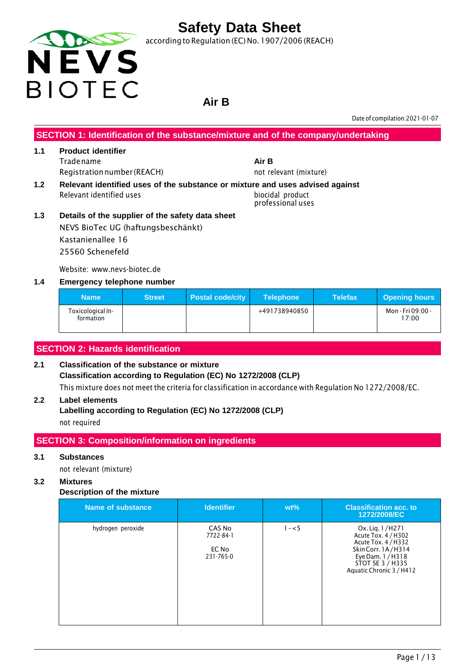

according to Regulation (EC) No.1907/2006 (REACH)

# **Air B**

Date of compilation:2021-01-07

#### **SECTION 1: Identification of the substance/mixture and of the company/undertaking**

# **1.1 Product identifier** Tradename **Air B**

- Registration number (REACH) not relevant (mixture)
- Relevant identified uses biocidal product

### **1.2 Relevant identified uses of the substance or mixture and uses advised against**

professional uses

**1.3 Details of the supplier of the safety data sheet** NEVS BioTec UG (haftungsbeschänkt) Kastanienallee 16 25560 Schenefeld

Website: www.nevs-biotec.de

#### **1.4 Emergency telephone number**

| <b>Name</b>                    | <b>Street</b> | <b>Postal code/city</b> | <b>Telephone</b> | <b>Telefax</b> | <b>Opening hours</b>       |
|--------------------------------|---------------|-------------------------|------------------|----------------|----------------------------|
| Toxicological In-<br>formation |               |                         | +491738940850    |                | Mon - Fri 09:00 -<br>17:00 |

#### **SECTION 2: Hazards identification**

#### **2.1 Classification of the substance or mixture Classification according to Regulation (EC) No 1272/2008 (CLP)** This mixture does not meet the criteria for classification in accordance with Regulation No 1272/2008/EC.

#### **2.2 Label elements**

**Labelling according to Regulation (EC) No 1272/2008 (CLP)** not required

#### **SECTION 3: Composition/information on ingredients**

#### **3.1 Substances**

not relevant (mixture)

#### **3.2 Mixtures**

#### **Description of the mixture**

| Name of substance | <b>Identifier</b>                         | $wt\%$  | <b>Classification acc. to</b><br>1272/2008/EC                                                                                                            |
|-------------------|-------------------------------------------|---------|----------------------------------------------------------------------------------------------------------------------------------------------------------|
| hydrogen peroxide | CAS No<br>7722-84-1<br>EC No<br>231-765-0 | $1 - 5$ | Ox. Lig. 1/H271<br>Acute Tox. 4 / H302<br>Acute Tox. 4 / H332<br>Skin Corr. 1A/H314<br>Eye Dam. 1 / H318<br>STOT SE 3 / H335<br>Aquatic Chronic 3 / H412 |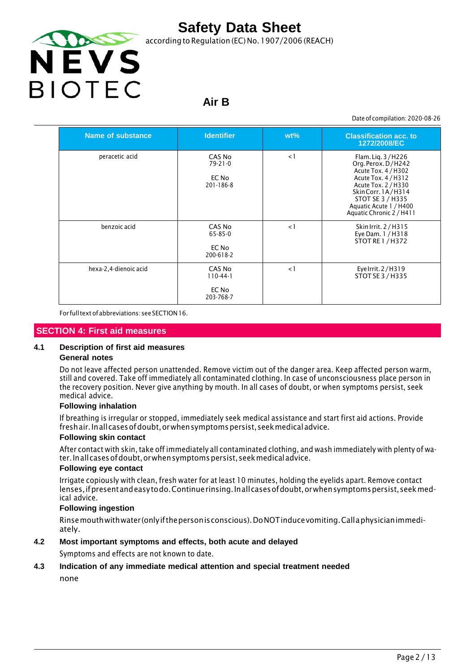

according to Regulation (EC) No. 1907/2006 (REACH)

### **Air B**

Date of compilation: 2020-08-26

| <b>Name of substance</b> | <b>Identifier</b>                                   | $wt\%$   | <b>Classification acc. to</b><br>1272/2008/EC                                                                                                                                                               |
|--------------------------|-----------------------------------------------------|----------|-------------------------------------------------------------------------------------------------------------------------------------------------------------------------------------------------------------|
| peracetic acid           | CAS No<br>$79 - 21 - 0$<br>EC No<br>$201 - 186 - 8$ | $\leq$ 1 | Flam. Lig. 3/H226<br>Org. Perox. D/H242<br>Acute Tox. 4 / H302<br>Acute Tox. 4 / H312<br>Acute Tox. 2 / H330<br>SkinCorr. 1A/H314<br>STOT SE 3 / H335<br>Aquatic Acute 1 / H400<br>Aquatic Chronic 2 / H411 |
| benzoic acid             | CAS No<br>65-85-0<br>EC No<br>200-618-2             | $\leq$ 1 | Skin Irrit. 2 / H315<br>Eye Dam. 1 / H318<br><b>STOT RE 1 / H372</b>                                                                                                                                        |
| hexa-2,4-dienoic acid    | CAS No<br>$110-44-1$<br>EC No<br>203-768-7          | $\leq$ 1 | Eye Irrit. 2/H319<br>STOT SE 3 / H335                                                                                                                                                                       |

For fulltextofabbreviations: seeSECTION16.

#### **SECTION 4: First aid measures**

#### **4.1 Description of first aid measures**

#### **General notes**

Do not leave affected person unattended. Remove victim out of the danger area. Keep affected person warm, still and covered. Take off immediately all contaminated clothing. In case of unconsciousness place person in the recovery position. Never give anything by mouth. In all cases of doubt, or when symptoms persist, seek medical advice.

#### **Following inhalation**

If breathing is irregular or stopped, immediately seek medical assistance and start first aid actions. Provide freshair. Inall cases of doubt, or when symptoms persist, seek medical advice.

#### **Following skin contact**

After contact with skin, take off immediately all contaminated clothing, and wash immediately with plenty of water.Inallcasesofdoubt,orwhensymptomspersist,seekmedicaladvice.

#### **Following eye contact**

Irrigate copiously with clean, fresh water for at least 10 minutes, holding the eyelids apart. Remove contact lenses, if present and easy to do. Continue rinsing. In all cases of doubt, or when symptoms persist, seek medical advice.

#### **Following ingestion**

Rinsemouthwithwater (onlyifthepersonisconscious).DoNOTinducevomiting.Callaphysicianimmediately.

#### **4.2 Most important symptoms and effects, both acute and delayed**

Symptoms and effects are not known to date.

#### **4.3 Indication of any immediate medical attention and special treatment needed**

none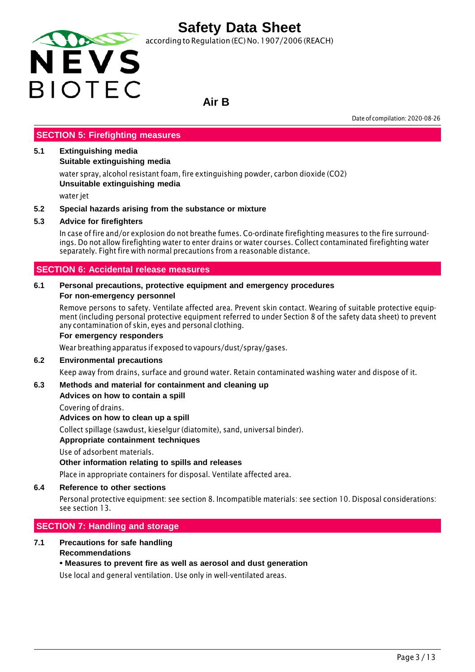

according to Regulation (EC) No. 1907/2006 (REACH)

### **Air B**

Date of compilation: 2020-08-26

#### **SECTION 5: Firefighting measures**

#### **5.1 Extinguishing media**

**Suitable extinguishing media**

water spray, alcohol resistant foam, fire extinguishing powder, carbon dioxide (CO2) **Unsuitable extinguishing media**

water jet

#### **5.2 Special hazards arising from the substance or mixture**

#### **5.3 Advice for firefighters**

In case of fire and/or explosion do not breathe fumes. Co-ordinate firefighting measures to the fire surroundings. Do not allow firefighting water to enter drains or water courses. Collect contaminated firefighting water separately. Fight fire with normal precautions from a reasonable distance.

#### **SECTION 6: Accidental release measures**

#### **6.1 Personal precautions, protective equipment and emergency procedures For non-emergency personnel**

Remove persons to safety. Ventilate affected area. Prevent skin contact. Wearing of suitable protective equipment (including personal protective equipment referred to under Section 8 of the safety data sheet) to prevent any contamination of skin, eyes and personal clothing.

#### **For emergency responders**

Wear breathing apparatus if exposed to vapours/dust/spray/gases.

#### **6.2 Environmental precautions**

Keep away from drains, surface and ground water. Retain contaminated washing water and dispose of it.

#### **6.3 Methods and material for containment and cleaning up**

#### **Advices on how to contain a spill**

Covering of drains.

**Advices on how to clean up a spill**

Collect spillage (sawdust, kieselgur (diatomite), sand, universal binder).

#### **Appropriate containment techniques**

Use of adsorbent materials.

#### **Other information relating to spills and releases**

Place in appropriate containers for disposal. Ventilate affected area.

#### **6.4 Reference to other sections**

Personal protective equipment: see section 8. Incompatible materials: see section 10. Disposal considerations: see section 13.

#### **SECTION 7: Handling and storage**

#### **7.1 Precautions for safe handling Recommendations**

#### **• Measures to prevent fire as well as aerosol and dust generation**

Use local and general ventilation. Use only in well-ventilated areas.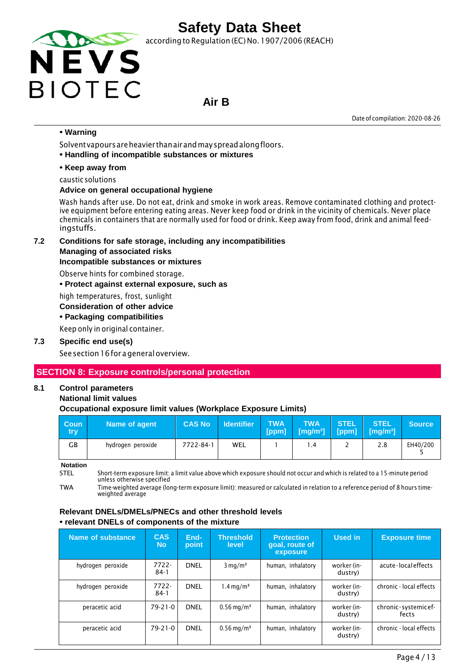

according to Regulation (EC) No. 1907/2006 (REACH)

### **Air B**

Date of compilation: 2020-08-26

#### **• Warning**

Solventvapoursareheavier thanairandmayspreadalongfloors.

**• Handling of incompatible substances or mixtures**

#### **• Keep away from**

caustic solutions

#### **Advice on general occupational hygiene**

Wash hands after use. Do not eat, drink and smoke in work areas. Remove contaminated clothing and protective equipment before entering eating areas. Never keep food or drink in the vicinity of chemicals. Never place chemicals in containers that are normally used for food or drink. Keep away from food, drink and animal feedingstuffs.

**7.2 Conditions for safe storage, including any incompatibilities**

#### **Managing of associated risks**

#### **Incompatible substances or mixtures**

Observe hints for combined storage.

**• Protect against external exposure, such as**

high temperatures, frost, sunlight

#### **Consideration of other advice**

**• Packaging compatibilities**

Keep only in original container.

#### **7.3 Specific end use(s)**

See section 16 for a general overview.

#### **SECTION 8: Exposure controls/personal protection**

#### **8.1 Control parameters**

#### **National limit values**

#### **Occupational exposure limit values (Workplace Exposure Limits)**

| <b>Coun</b><br>try | Name of agent     | <b>CAS No</b> | <b>Identifier</b> | <b>TWA</b><br>[ppm] | <b>TWA</b><br>$\sqrt{[mg/m^3]}$ | <b>STEL</b> | <b>STEL</b><br>$[ppm]$ $[mg/m^3]$ | <b>Source</b> |
|--------------------|-------------------|---------------|-------------------|---------------------|---------------------------------|-------------|-----------------------------------|---------------|
| GВ                 | hydrogen peroxide | 7722-84-1     | WEL               |                     | $\cdot$ 4                       | -           | 2.8                               | EH40/200      |

**Notation**

STEL Short-term exposure limit: a limit value above which exposure should not occur and which is related to a 15-minute period unless otherwise specified

TWA Time-weighted average (long-term exposure limit): measured or calculated in relation to a reference period of 8 hours timeweighted average

#### **Relevant DNELs/DMELs/PNECs and other threshold levels • relevant DNELs of components of the mixture**

| Name of substance | <b>CAS</b><br><b>No</b> | End-<br>point | <b>Threshold</b><br>level | <b>Protection</b><br>goal, route of<br>exposure | Used in                | <b>Exposure time</b>         |
|-------------------|-------------------------|---------------|---------------------------|-------------------------------------------------|------------------------|------------------------------|
| hydrogen peroxide | $7722 -$<br>$84-1$      | <b>DNEL</b>   | $3 \text{ mg/m}^3$        | human, inhalatory                               | worker (in-<br>dustry) | acute-localeffects           |
| hydrogen peroxide | 7722-<br>$84-1$         | <b>DNEL</b>   | $1.4 \,\mathrm{mq/m^3}$   | human, inhalatory                               | worker (in-<br>dustry) | chronic - local effects      |
| peracetic acid    | $79 - 21 - 0$           | <b>DNEL</b>   | $0.56 \,\mathrm{mg/m^3}$  | human, inhalatory                               | worker (in-<br>dustry) | chronic-systemicef-<br>fects |
| peracetic acid    | $79 - 21 - 0$           | <b>DNEL</b>   | $0.56 \,\mathrm{mg/m^3}$  | human, inhalatory                               | worker (in-<br>dustry) | chronic - local effects      |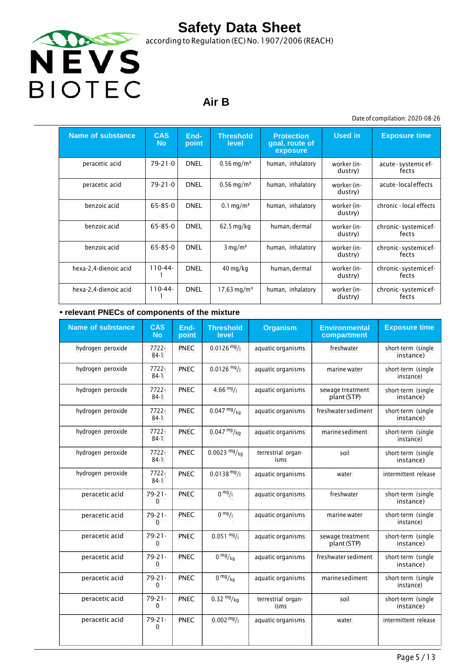

according to Regulation (EC) No.1907/2006 (REACH)

### **Air B**

Date of compilation: 2020-08-26

| <b>Name of substance</b> | <b>CAS</b><br><b>No</b> | End-<br>point | <b>Threshold</b><br>level | <b>Protection</b><br>goal, route of<br>exposure | <b>Used in</b>         | <b>Exposure time</b>          |
|--------------------------|-------------------------|---------------|---------------------------|-------------------------------------------------|------------------------|-------------------------------|
| peracetic acid           | 79-21-0                 | <b>DNEL</b>   | $0.56 \,\mathrm{mg/m^3}$  | human, inhalatory                               | worker (in-<br>dustry) | acute - systemic ef-<br>fects |
| peracetic acid           | 79-21-0                 | <b>DNEL</b>   | $0.56$ mg/m <sup>3</sup>  | human, inhalatory                               | worker (in-<br>dustry) | acute-localeffects            |
| benzoic acid             | 65-85-0                 | <b>DNEL</b>   | $0.1 \,\mathrm{mg/m^3}$   | human, inhalatory                               | worker (in-<br>dustry) | chronic - local effects       |
| benzoic acid             | 65-85-0                 | <b>DNEL</b>   | $62.5$ mg/kg              | human, dermal                                   | worker (in-<br>dustry) | chronic-systemicef-<br>fects  |
| benzoic acid             | 65-85-0                 | <b>DNEL</b>   | $3 \text{ mg/m}^3$        | human, inhalatory                               | worker (in-<br>dustry) | chronic-systemicef-<br>fects  |
| hexa-2,4-dienoic acid    | $110-44-$               | <b>DNEL</b>   | $40 \,\mathrm{mg/kg}$     | human, dermal                                   | worker (in-<br>dustry) | chronic-systemicef-<br>fects  |
| hexa-2,4-dienoic acid    | $110 - 44 -$            | <b>DNEL</b>   | $17.63 \,\mathrm{mg/m^3}$ | human, inhalatory                               | worker (in-<br>dustry) | chronic-systemicef-<br>fects  |

#### **• relevant PNECs of components of the mixture**

| <b>Name of substance</b> | <b>CAS</b><br><b>No</b>     | End-<br>point | <b>Threshold</b><br>level | <b>Organism</b>            | <b>Environmental</b><br>compartment | <b>Exposure time</b>            |
|--------------------------|-----------------------------|---------------|---------------------------|----------------------------|-------------------------------------|---------------------------------|
| hydrogen peroxide        | 7722-<br>$84-1$             | PNEC          | $0.0126 \frac{mg}{l}$     | aquatic organisms          | freshwater                          | short-term (single<br>instance) |
| hydrogen peroxide        | 7722-<br>$84-1$             | <b>PNEC</b>   | $0.0126$ mg/              | aquatic organisms          | marine water                        | short-term (single<br>instance) |
| hydrogen peroxide        | $7722 -$<br>$84-1$          | <b>PNEC</b>   | $4.66 \frac{mg}{l}$       | aquatic organisms          | sewage treatment<br>plant (STP)     | short-term (single<br>instance) |
| hydrogen peroxide        | 7722-<br>$84-1$             | PNEC          | $0.047 \frac{mg}{kg}$     | aquatic organisms          | freshwater sediment                 | short-term (single<br>instance) |
| hydrogen peroxide        | 7722-<br>$84-1$             | PNEC          | $0.047 \frac{mg}{kg}$     | aquatic organisms          | marine sediment                     | short-term (single<br>instance) |
| hydrogen peroxide        | $7722 -$<br>$84-1$          | <b>PNEC</b>   | $0.0023 \frac{mg}{kg}$    | terrestrial organ-<br>isms | soil                                | short-term (single<br>instance) |
| hydrogen peroxide        | 7722-<br>$84-1$             | PNEC          | $0.0138 \text{ mg}$ /     | aquatic organisms          | water                               | intermittent release            |
| peracetic acid           | $79 - 21 -$<br>0            | <b>PNEC</b>   | 0 <sup>mg</sup> /1        | aquatic organisms          | freshwater                          | short-term (single<br>instance) |
| peracetic acid           | $79 - 21 -$<br>$\mathbf{0}$ | <b>PNEC</b>   | 0 <sup>mg</sup> /1        | aquatic organisms          | marine water                        | short-term (single<br>instance) |
| peracetic acid           | $79 - 21 -$<br>0            | <b>PNEC</b>   | $0.051 \frac{mg}{l}$      | aquatic organisms          | sewage treatment<br>plant (STP)     | short-term (single<br>instance) |
| peracetic acid           | $79 - 21 -$<br>0            | <b>PNEC</b>   | $0 \frac{mg}{kg}$         | aquatic organisms          | freshwater sediment                 | short-term (single<br>instance) |
| peracetic acid           | $79 - 21 -$<br>$\mathbf{0}$ | <b>PNEC</b>   | $0 \frac{mg}{kg}$         | aquatic organisms          | marine sediment                     | short-term (single<br>instance) |
| peracetic acid           | $79 - 21 -$<br>0            | PNEC          | $0.32 \frac{mg}{kg}$      | terrestrial organ-<br>isms | soil                                | short-term (single<br>instance) |
| peracetic acid           | $79 - 21 -$<br>$\mathbf{0}$ | <b>PNEC</b>   | $0.002 \frac{mg}{l}$      | aquatic organisms          | water                               | intermittent release            |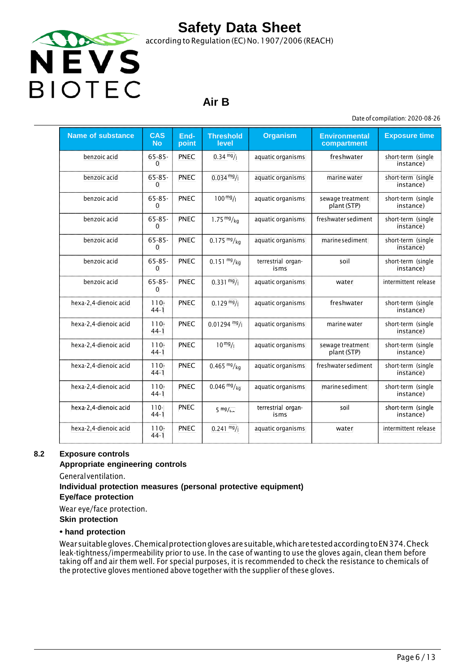

### **Air B**

Date of compilation: 2020-08-26

| <b>Name of substance</b> | <b>CAS</b><br><b>No</b>     | End-<br>point | <b>Threshold</b><br>level | <b>Organism</b>            | <b>Environmental</b><br>compartment | <b>Exposure time</b>            |
|--------------------------|-----------------------------|---------------|---------------------------|----------------------------|-------------------------------------|---------------------------------|
| benzoic acid             | $65 - 85 -$<br>$\mathbf{0}$ | <b>PNEC</b>   | $0.34 \frac{mg}{l}$       | aquatic organisms          | freshwater                          | short-term (single<br>instance) |
| benzoic acid             | $65 - 85 -$<br>$\mathbf{0}$ | <b>PNEC</b>   | $0.034 \frac{mg}{l}$      | aquatic organisms          | marine water                        | short-term (single<br>instance) |
| benzoic acid             | $65 - 85 -$<br>$\Omega$     | <b>PNEC</b>   | $100 \frac{mg}{l}$        | aquatic organisms          | sewage treatment<br>plant (STP)     | short-term (single<br>instance) |
| benzoic acid             | $65 - 85 -$<br>$\Omega$     | <b>PNEC</b>   | 1.75 $mg/kg$              | aquatic organisms          | freshwater sediment                 | short-term (single<br>instance) |
| benzoic acid             | $65 - 85 -$<br>$\Omega$     | <b>PNEC</b>   | $0.175 \frac{mg}{kg}$     | aquatic organisms          | marine sediment                     | short-term (single<br>instance) |
| benzoic acid             | $65 - 85 -$<br>$\mathbf{0}$ | <b>PNEC</b>   | $0.151 \frac{mg}{kg}$     | terrestrial organ-<br>isms | soil                                | short-term (single<br>instance) |
| benzoic acid             | $65 - 85 -$<br>$\Omega$     | <b>PNEC</b>   | $0.331 \text{ mg}$ /      | aquatic organisms          | water                               | intermittent release            |
| hexa-2,4-dienoic acid    | $110 -$<br>$44-1$           | <b>PNEC</b>   | $0.129 \frac{mg}{l}$      | aquatic organisms          | freshwater                          | short-term (single<br>instance) |
| hexa-2,4-dienoic acid    | $110 -$<br>$44-1$           | <b>PNEC</b>   | $0.01294$ mg/             | aquatic organisms          | marine water                        | short-term (single<br>instance) |
| hexa-2,4-dienoic acid    | $110 -$<br>$44-1$           | <b>PNEC</b>   | $10^{mg}/1$               | aquatic organisms          | sewage treatment<br>plant (STP)     | short-term (single<br>instance) |
| hexa-2,4-dienoic acid    | $110 -$<br>$44-1$           | <b>PNEC</b>   | $0.465$ mg/kg             | aquatic organisms          | freshwater sediment                 | short-term (single<br>instance) |
| hexa-2,4-dienoic acid    | $110 -$<br>$44-1$           | <b>PNEC</b>   | $0.046 \frac{mg}{kg}$     | aquatic organisms          | marine sediment                     | short-term (single<br>instance) |
| hexa 2,4 dienoic acid    | $110 -$<br>$44-1$           | <b>PNEC</b>   | $5 \frac{mg}{ka}$         | terrestrial organ-<br>isms | soil                                | short term (single<br>instance) |
| hexa-2,4-dienoic acid    | $110 -$<br>$44-1$           | <b>PNEC</b>   | $0.241 \frac{mg}{l}$      | aquatic organisms          | water                               | intermittent release            |

#### **8.2 Exposure controls**

#### **Appropriate engineering controls**

Generalventilation.

### **Individual protection measures (personal protective equipment)**

**Eye/face protection**

Wear eye/face protection.

**Skin protection**

#### **• hand protection**

Wearsuitablegloves.Chemicalprotectionglovesaresuitable,whicharetestedaccordingtoEN374.Check leak-tightness/impermeability prior to use. In the case of wanting to use the gloves again, clean them before taking off and air them well. For special purposes, it is recommended to check the resistance to chemicals of the protective gloves mentioned above together with the supplier of these gloves.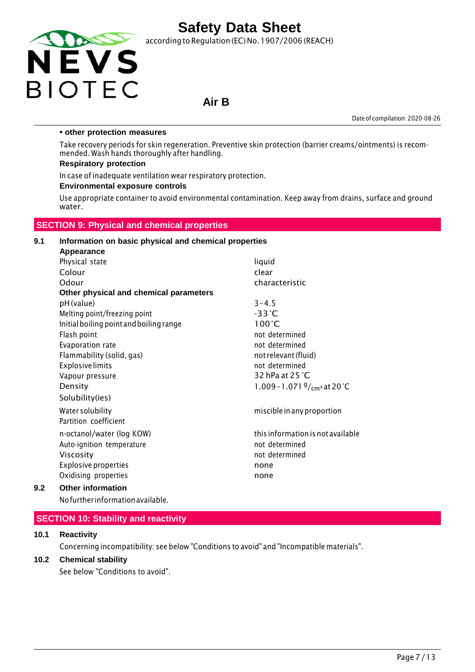

according to Regulation (EC) No.1907/2006 (REACH)

### **Air B**

Date of compilation: 2020-08-26

#### **• other protection measures**

Take recovery periods for skin regeneration. Preventive skin protection (barrier creams/ointments) is recommended. Wash hands thoroughly after handling.

#### **Respiratory protection**

In case of inadequate ventilation wear respiratory protection.

#### **Environmental exposure controls**

Use appropriate container to avoid environmental contamination. Keep away from drains, surface and ground water.

#### **SECTION 9: Physical and chemical properties**

#### **9.1 Information on basic physical and chemical properties Appearance**

| Appearance                              |                                       |
|-----------------------------------------|---------------------------------------|
| Physical state                          | liquid                                |
| Colour                                  | clear                                 |
| Odour                                   | characteristic                        |
| Other physical and chemical parameters  |                                       |
| pH (value)                              | $3 - 4.5$                             |
| Melting point/freezing point            | $-33^{\circ}$ C                       |
| Initial boiling point and boiling range | $100^{\circ}$ C                       |
| Flash point                             | not determined                        |
| Evaporation rate                        | not determined                        |
| Flammability (solid, gas)               | not relevant (fluid)                  |
| <b>Explosive limits</b>                 | not determined                        |
| Vapour pressure                         | 32 hPa at 25 °C                       |
| Density                                 | 1.009 - 1.071 $\frac{9}{cm}$ at 20 °C |
| Solubility(ies)                         |                                       |
| Water solubility                        | miscible in any proportion            |
| Partition coefficient                   |                                       |
| n-octanol/water (log KOW)               | this information is not available     |
| Auto-ignition temperature               | not determined                        |
| Viscosity                               | not determined                        |
| <b>Explosive properties</b>             | none                                  |
| Oxidising properties                    | none                                  |
| Other information                       |                                       |

### **9.2 Other information**

Nofurther informationavailable.

#### **SECTION 10: Stability and reactivity**

#### **10.1 Reactivity**

Concerning incompatibility: see below "Conditions to avoid" and "Incompatible materials".

#### **10.2 Chemical stability**

See below "Conditions to avoid".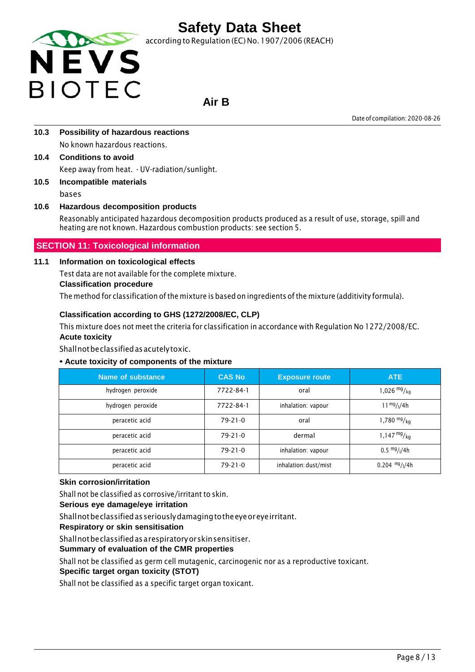

according to Regulation (EC) No. 1907/2006 (REACH)

# **Air B**

Date of compilation: 2020-08-26

- **10.3 Possibility of hazardous reactions** No known hazardous reactions.
- **10.4 Conditions to avoid** Keep away from heat. - UV-radiation/sunlight.
- **10.5 Incompatible materials** bases

#### **10.6 Hazardous decomposition products**

Reasonably anticipated hazardous decomposition products produced as a result of use, storage, spill and heating are not known. Hazardous combustion products: see section 5.

#### **SECTION 11: Toxicological information**

#### **11.1 Information on toxicological effects**

Test data are not available for the complete mixture.

#### **Classification procedure**

The method for classification ofthe mixture is based on ingredients of the mixture (additivity formula).

#### **Classification according to GHS (1272/2008/EC, CLP)**

This mixture does not meet the criteria for classification in accordance with Regulation No 1272/2008/EC. **Acute toxicity**

Shallnotbeclassifiedasacutelytoxic.

#### **• Acute toxicity of components of the mixture**

| Name of substance | <b>CAS No</b> | <b>Exposure route</b> | ATE                                   |
|-------------------|---------------|-----------------------|---------------------------------------|
| hydrogen peroxide | 7722-84-1     | oral                  | 1,026 $mg/kq$                         |
| hydrogen peroxide | 7722-84-1     | inhalation: vapour    | $11^{mg}/(4h)$                        |
| peracetic acid    | $79-21-0$     | oral                  | 1,780 $mg/kg$                         |
| peracetic acid    | $79-21-0$     | dermal                | $1,147 \frac{mg}{kg}$                 |
| peracetic acid    | $79 - 21 - 0$ | inhalation: vapour    | $0.5 \frac{mg}{l}$ / <sub>1</sub> /4h |
| peracetic acid    | $79-21-0$     | inhalation: dust/mist | $0.204$ mg/ $1/4h$                    |

#### **Skin corrosion/irritation**

Shall not be classified as corrosive/irritant to skin.

#### **Serious eye damage/eye irritation**

Shallnotbeclassifiedasseriouslydamagingtotheeyeoreyeirritant.

**Respiratory or skin sensitisation**

Shallnotbeclassifiedasarespiratoryorskinsensitiser.

#### **Summary of evaluation of the CMR properties**

Shall not be classified as germ cell mutagenic, carcinogenic nor as a reproductive toxicant.

#### **Specific target organ toxicity (STOT)**

Shall not be classified as a specific target organ toxicant.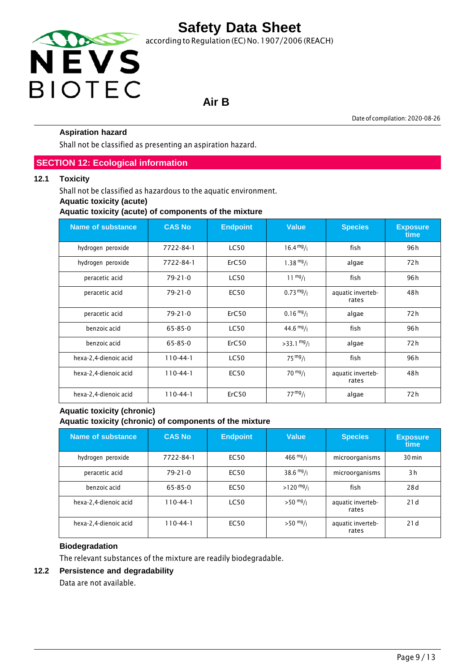

# **Air B**

Date of compilation: 2020-08-26

#### **Aspiration hazard**

Shall not be classified as presenting an aspiration hazard.

#### **SECTION 12: Ecological information**

#### **12.1 Toxicity**

Shall not be classified as hazardous to the aquatic environment.

#### **Aquatic toxicity (acute)**

**Aquatic toxicity (acute) of components of the mixture**

| <b>Name of substance</b> | <b>CAS No</b> | <b>Endpoint</b> | <b>Value</b>         | <b>Species</b>             | <b>Exposure</b><br>time |
|--------------------------|---------------|-----------------|----------------------|----------------------------|-------------------------|
| hydrogen peroxide        | 7722-84-1     | <b>LC50</b>     | $16.4 \frac{mg}{l}$  | fish                       | 96 h                    |
| hydrogen peroxide        | 7722-84-1     | ErC50           | $1.38 \frac{mg}{l}$  | algae                      | 72 h                    |
| peracetic acid           | $79 - 21 - 0$ | <b>LC50</b>     | $11 \frac{mg}{l}$    | fish                       | 96 h                    |
| peracetic acid           | $79 - 21 - 0$ | <b>EC50</b>     | $0.73 \frac{mg}{l}$  | aquatic inverteb-<br>rates | 48h                     |
| peracetic acid           | $79 - 21 - 0$ | ErC50           | $0.16 \frac{mg}{l}$  | algae                      | 72h                     |
| benzoic acid             | $65 - 85 - 0$ | <b>LC50</b>     | 44.6 $mg/1$          | fish                       | 96 h                    |
| benzoic acid             | $65 - 85 - 0$ | ErC50           | $>33.1 \frac{mg}{l}$ | algae                      | 72h                     |
| hexa-2,4-dienoic acid    | $110-44-1$    | <b>LC50</b>     | $75 \frac{mg}{l}$    | fish                       | 96h                     |
| hexa-2,4-dienoic acid    | $110-44-1$    | <b>EC50</b>     | $70 \frac{mg}{l}$    | aquatic inverteb-<br>rates | 48h                     |
| hexa-2,4-dienoic acid    | $110-44-1$    | ErC50           | 77 <sup>mg</sup> /1  | algae                      | 72h                     |

#### **Aquatic toxicity (chronic) Aquatic toxicity (chronic) of components of the mixture**

| Name of substance     | <b>CAS No</b>  | <b>Endpoint</b> | <b>Value</b>        | <b>Species</b>             | <b>Exposure</b><br>time |
|-----------------------|----------------|-----------------|---------------------|----------------------------|-------------------------|
| hydrogen peroxide     | 7722-84-1      | EC50            | $466 \frac{mg}{l}$  | microorganisms             | $30 \,\mathrm{min}$     |
| peracetic acid        | $79 - 21 - 0$  | EC50            | $38.6 \frac{mg}{l}$ | microorganisms             | 3h                      |
| benzoic acid          | 65-85-0        | <b>EC50</b>     | $>120$ mg/          | fish                       | 28d                     |
| hexa-2,4-dienoic acid | $110 - 44 - 1$ | <b>LC50</b>     | $>50$ mg/ $_1$      | aquatic inverteb-<br>rates | 21d                     |
| hexa-2,4-dienoic acid | $110 - 44 - 1$ | <b>EC50</b>     | $>50$ mg/           | aquatic inverteb-<br>rates | 21d                     |

#### **Biodegradation**

The relevant substances of the mixture are readily biodegradable.

#### **12.2 Persistence and degradability**

Data are not available.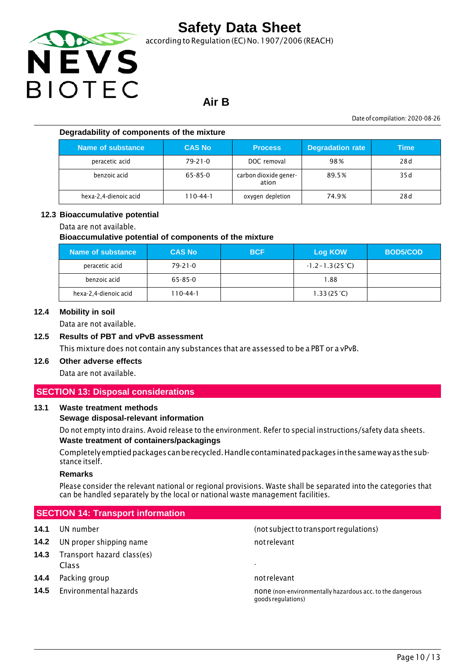

according to Regulation (EC) No.1907/2006 (REACH)

### **Air B**

Date of compilation: 2020-08-26

#### **Degradability of components of the mixture**

| Name of substance     | <b>CAS No</b> | <b>Process</b>                 | <b>Degradation rate</b> | Time |
|-----------------------|---------------|--------------------------------|-------------------------|------|
| peracetic acid        | $79 - 21 - 0$ | DOC removal                    | 98%                     | 28 d |
| benzoic acid          | 65-85-0       | carbon dioxide gener-<br>ation | 89.5%                   | 35 d |
| hexa-2,4-dienoic acid | 110-44-1      | oxygen depletion               | 74.9%                   | 28d  |

#### **12.3 Bioaccumulative potential**

#### Data are not available.

#### **Bioaccumulative potential of components of the mixture**

| Name of substance     | <b>CAS No</b> | <b>BCF</b> | Log KOW                   | <b>BOD5/COD</b> |
|-----------------------|---------------|------------|---------------------------|-----------------|
| peracetic acid        | $79 - 21 - 0$ |            | $-1.2 - 1.3(25^{\circ}C)$ |                 |
| benzoic acid          | 65-85-0       |            | 1.88                      |                 |
| hexa-2,4-dienoic acid | 110-44-1      |            | 1.33(25 <sup>o</sup> C)   |                 |

#### **12.4 Mobility in soil**

Data are not available.

#### **12.5 Results of PBT and vPvB assessment**

This mixture does not contain any substances that are assessed to be a PBT or a vPvB.

### **12.6 Other adverse effects**

Data are not available.

#### **SECTION 13: Disposal considerations**

#### **13.1 Waste treatment methods**

#### **Sewage disposal-relevant information**

Do not empty into drains. Avoid release to the environment. Refer to special instructions/safety data sheets. **Waste treatment of containers/packagings**

Completelyemptiedpackages canberecycled.Handlecontaminatedpackages inthesameway asthesubstance itself.

#### **Remarks**

Please consider the relevant national or regional provisions. Waste shall be separated into the categories that can be handled separately by the local or national waste management facilities.

#### **SECTION 14: Transport information**

- **14.2** UN proper shipping name not relevant
- **14.3** Transport hazard class(es) Class -
- **14.4** Packing group **not relevant** not relevant
- 

**14.1** UN number (not subjectto transport regulations)

**14.5** Environmental hazards none is none (non-environmentally hazardous acc. to the dangerous acc. to the dangerous goodsregulations)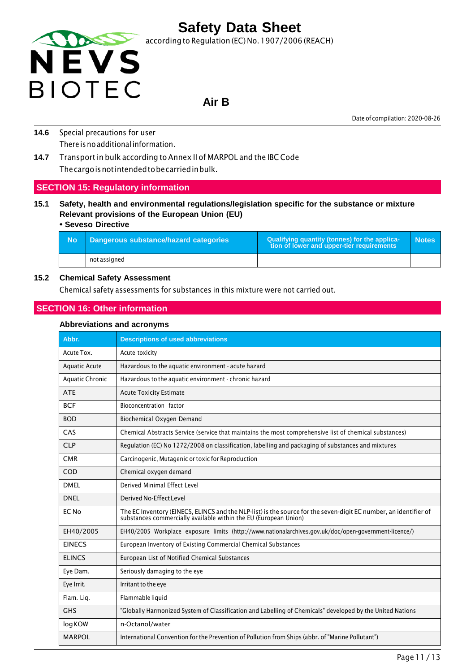

### **Air B**

Date of compilation: 2020-08-26

- **14.6** Special precautions for user There is no additional information.
- **14.7** Transport in bulk according to Annex II of MARPOL and the IBC Code Thecargoisnotintendedtobecarriedinbulk.

#### **SECTION 15: Regulatory information**

**15.1 Safety, health and environmental regulations/legislation specific for the substance or mixture Relevant provisions of the European Union (EU)**

#### **• Seveso Directive**

| - No | Dangerous substance/hazard categories | Qualifying quantity (tonnes) for the applica-<br>tion of lower and upper-tier requirements | <b>Notes</b> |
|------|---------------------------------------|--------------------------------------------------------------------------------------------|--------------|
|      | not assigned                          |                                                                                            |              |

#### **15.2 Chemical Safety Assessment**

Chemical safety assessments for substances in this mixture were not carried out.

#### **SECTION 16: Other information**

#### **Abbreviations and acronyms**

| Abbr.                  | <b>Descriptions of used abbreviations</b>                                                                                                                                         |
|------------------------|-----------------------------------------------------------------------------------------------------------------------------------------------------------------------------------|
| Acute Tox.             | Acute toxicity                                                                                                                                                                    |
| <b>Aquatic Acute</b>   | Hazardous to the aquatic environment - acute hazard                                                                                                                               |
| <b>Aquatic Chronic</b> | Hazardous to the aquatic environment - chronic hazard                                                                                                                             |
| <b>ATE</b>             | <b>Acute Toxicity Estimate</b>                                                                                                                                                    |
| <b>BCF</b>             | Bioconcentration factor                                                                                                                                                           |
| <b>BOD</b>             | Biochemical Oxygen Demand                                                                                                                                                         |
| CAS                    | Chemical Abstracts Service (service that maintains the most comprehensive list of chemical substances)                                                                            |
| <b>CLP</b>             | Regulation (EC) No 1272/2008 on classification, labelling and packaging of substances and mixtures                                                                                |
| <b>CMR</b>             | Carcinogenic, Mutagenic or toxic for Reproduction                                                                                                                                 |
| COD                    | Chemical oxygen demand                                                                                                                                                            |
| DMFI                   | Derived Minimal Effect Level                                                                                                                                                      |
| <b>DNEL</b>            | Derived No-Effect Level                                                                                                                                                           |
| EC No                  | The EC Inventory (EINECS, ELINCS and the NLP-list) is the source for the seven-digit EC number, an identifier of substances commercially available within the EU (European Union) |
| EH40/2005              | EH40/2005 Workplace exposure limits (http://www.nationalarchives.gov.uk/doc/open-government-licence/)                                                                             |
| <b>EINECS</b>          | European Inventory of Existing Commercial Chemical Substances                                                                                                                     |
| <b>ELINCS</b>          | European List of Notified Chemical Substances                                                                                                                                     |
| Eye Dam.               | Seriously damaging to the eye                                                                                                                                                     |
| Eye Irrit.             | Irritant to the eye                                                                                                                                                               |
| Flam. Lig.             | Flammable liquid                                                                                                                                                                  |
| <b>GHS</b>             | "Globally Harmonized System of Classification and Labelling of Chemicals" developed by the United Nations                                                                         |
| logKOW                 | n-Octanol/water                                                                                                                                                                   |
| <b>MARPOL</b>          | International Convention for the Prevention of Pollution from Ships (abbr. of "Marine Pollutant")                                                                                 |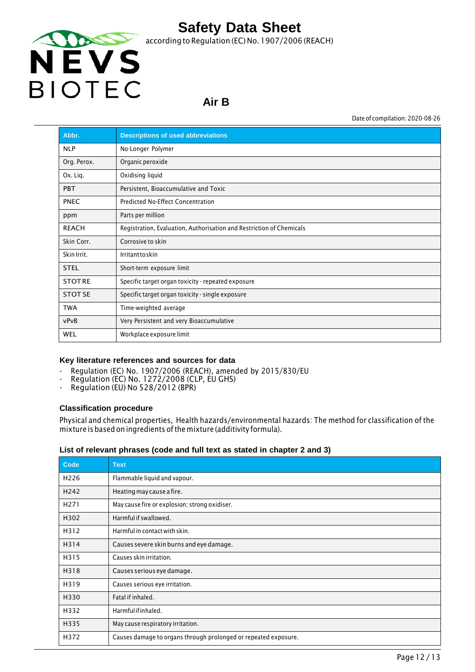

### **Air B**

Date of compilation: 2020-08-26

| Abbr.          | <b>Descriptions of used abbreviations</b>                            |
|----------------|----------------------------------------------------------------------|
| <b>NLP</b>     | No-Longer Polymer                                                    |
| Org. Perox.    | Organic peroxide                                                     |
| Ox. Lig.       | Oxidising liquid                                                     |
| <b>PBT</b>     | Persistent, Bioaccumulative and Toxic                                |
| <b>PNEC</b>    | Predicted No-Effect Concentration                                    |
| ppm            | Parts per million                                                    |
| <b>REACH</b>   | Registration, Evaluation, Authorisation and Restriction of Chemicals |
| Skin Corr.     | Corrosive to skin                                                    |
| Skin Irrit.    | Irritanttoskin                                                       |
| <b>STEL</b>    | Short-term exposure limit                                            |
| <b>STOTRE</b>  | Specific target organ toxicity - repeated exposure                   |
| <b>STOT SE</b> | Specific target organ toxicity - single exposure                     |
| <b>TWA</b>     | Time-weighted average                                                |
| vPvB           | Very Persistent and very Bioaccumulative                             |
| <b>WEL</b>     | Workplace exposure limit                                             |

#### **Key literature references and sources for data**

- Regulation (EC) No. 1907/2006 (REACH), amended by 2015/830/EU
- Regulation (EC) No. 1272/2008 (CLP, EU GHS)
- Regulation (EU) No 528/2012 (BPR)

#### **Classification procedure**

Physical and chemical properties, Health hazards/environmental hazards: The method for classification of the mixture is based on ingredients ofthe mixture (additivity formula).

#### **List of relevant phrases (code and full text as stated in chapter 2 and 3)**

| Code             | <b>Text</b>                                                     |
|------------------|-----------------------------------------------------------------|
| H <sub>226</sub> | Flammable liquid and vapour.                                    |
| H <sub>242</sub> | Heating may cause a fire.                                       |
| H <sub>271</sub> | May cause fire or explosion; strong oxidiser.                   |
| H302             | Harmful if swallowed.                                           |
| H312             | Harmful in contact with skin.                                   |
| H314             | Causes severe skin burns and eye damage.                        |
| H315             | Causes skin irritation.                                         |
| H318             | Causes serious eye damage.                                      |
| H319             | Causes serious eye irritation.                                  |
| H330             | Fatal if inhaled.                                               |
| H332             | Harmfulifinhaled.                                               |
| H335             | May cause respiratory irritation.                               |
| H372             | Causes damage to organs through prolonged or repeated exposure. |